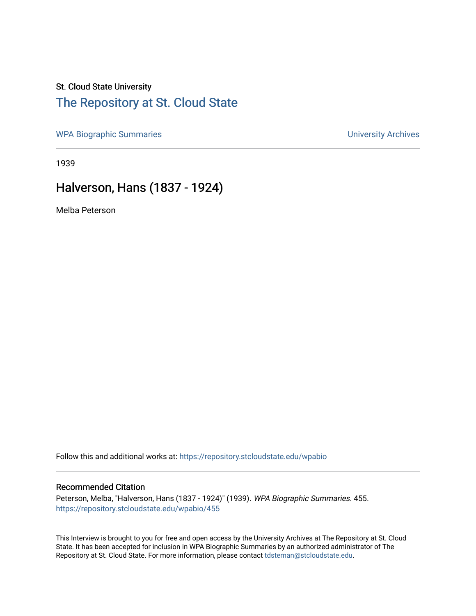## St. Cloud State University

# [The Repository at St. Cloud State](https://repository.stcloudstate.edu/)

[WPA Biographic Summaries](https://repository.stcloudstate.edu/wpabio) **WPA Biographic Summaries University Archives** 

1939

# Halverson, Hans (1837 - 1924)

Melba Peterson

Follow this and additional works at: [https://repository.stcloudstate.edu/wpabio](https://repository.stcloudstate.edu/wpabio?utm_source=repository.stcloudstate.edu%2Fwpabio%2F455&utm_medium=PDF&utm_campaign=PDFCoverPages) 

### Recommended Citation

Peterson, Melba, "Halverson, Hans (1837 - 1924)" (1939). WPA Biographic Summaries. 455. [https://repository.stcloudstate.edu/wpabio/455](https://repository.stcloudstate.edu/wpabio/455?utm_source=repository.stcloudstate.edu%2Fwpabio%2F455&utm_medium=PDF&utm_campaign=PDFCoverPages) 

This Interview is brought to you for free and open access by the University Archives at The Repository at St. Cloud State. It has been accepted for inclusion in WPA Biographic Summaries by an authorized administrator of The Repository at St. Cloud State. For more information, please contact [tdsteman@stcloudstate.edu.](mailto:tdsteman@stcloudstate.edu)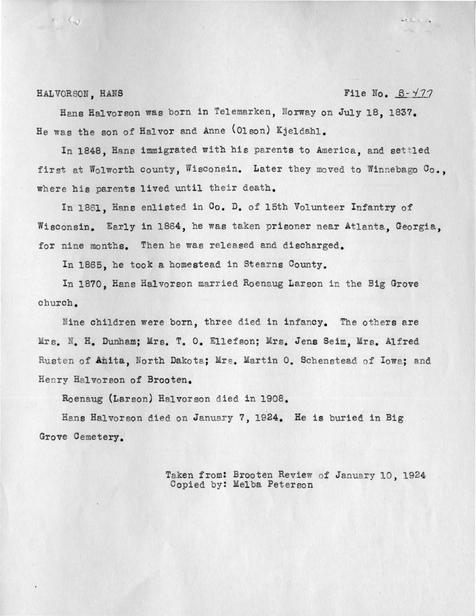#### HALVORSON, HANS File No. B-477

As Go

Hans Halvorson was born in Telemarken, Norway on July 18. 1837. He was the son of Halvor and Anne (Olson) Kjeldahl.

In 1848. Hans immigrated with his parents to America, and settled first at Wolworth county, Wisconsin. Later they moved to Winnebago Co., where his parents lived until their death.

In 1861, Hans enlisted in Co. D. of 15th Volunteer Infantry of Wisconsin. Early in 1864, he was taken prisoner near Atlanta, Georgia, for nine months. Then he was released and discharged.

In 1865, he took a homestead in Stearns County.

In 1870, Hans Halvorson married Roenaug Larson in the Big Grove church .

Nine children were born, three died in infancy. The others are Mrs. N. H. Dunham; Mrs. T. O. Ellefson; Mrs. Jens Seim, Mrs. Alfred Rusten of Anita. North Dakota; Mrs. Martin O. Schenstead of Iowa; and Henry Halvorson of Brooten.

Roenaug (Larson) Halvorson died in 1908.

Hans Halvorson died on January 7, 1924. He is buried in Big Grove Cemetery.

> Taken from: Brooten Review of January 10, 1924 Copied by: Melba Peterson